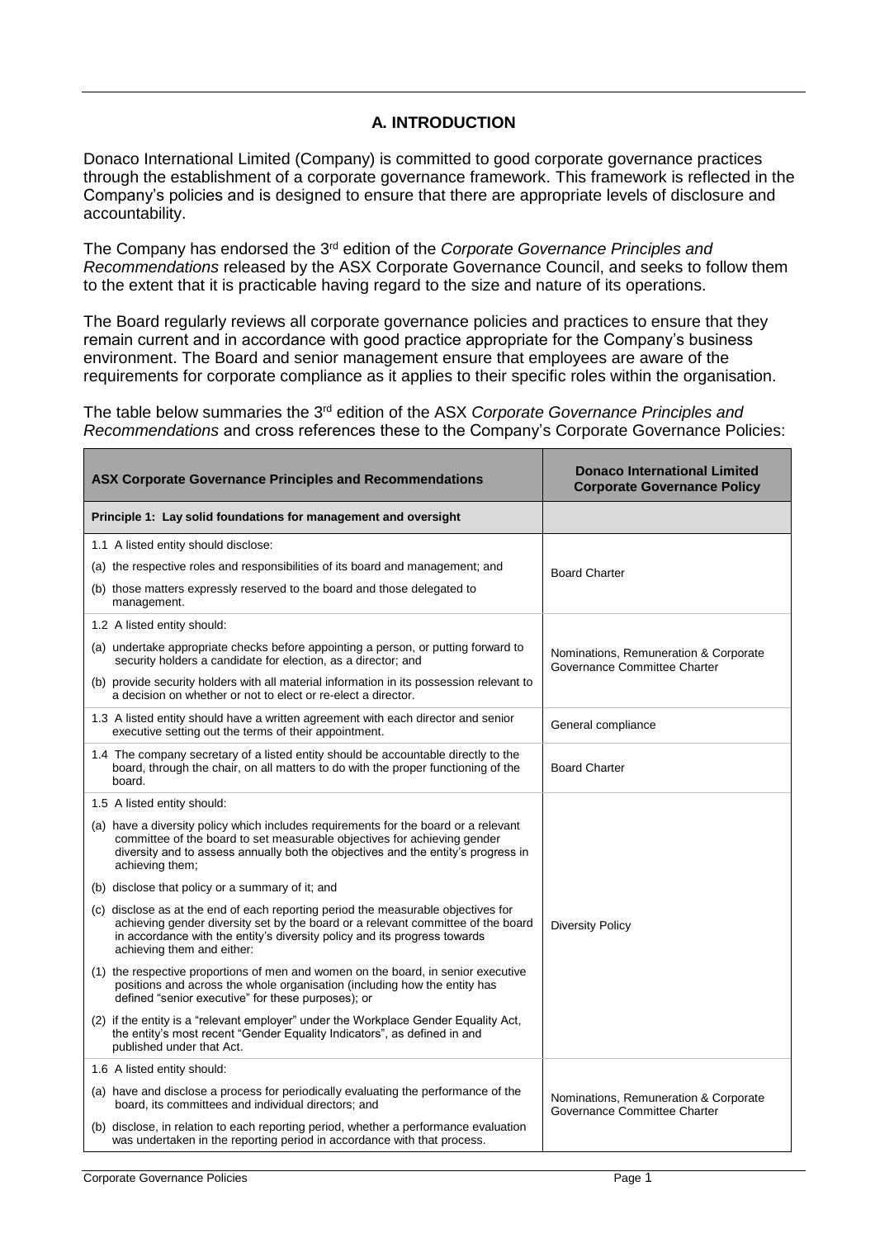## **A. INTRODUCTION**

Donaco International Limited (Company) is committed to good corporate governance practices through the establishment of a corporate governance framework. This framework is reflected in the Company's policies and is designed to ensure that there are appropriate levels of disclosure and accountability.

The Company has endorsed the 3<sup>rd</sup> edition of the *Corporate Governance Principles and Recommendations* released by the ASX Corporate Governance Council, and seeks to follow them to the extent that it is practicable having regard to the size and nature of its operations.

The Board regularly reviews all corporate governance policies and practices to ensure that they remain current and in accordance with good practice appropriate for the Company's business environment. The Board and senior management ensure that employees are aware of the requirements for corporate compliance as it applies to their specific roles within the organisation.

The table below summaries the 3<sup>rd</sup> edition of the ASX *Corporate Governance Principles and Recommendations* and cross references these to the Company's Corporate Governance Policies:

| <b>ASX Corporate Governance Principles and Recommendations</b>                                                                                                                                                                                                                   | <b>Donaco International Limited</b><br><b>Corporate Governance Policy</b> |
|----------------------------------------------------------------------------------------------------------------------------------------------------------------------------------------------------------------------------------------------------------------------------------|---------------------------------------------------------------------------|
| Principle 1: Lay solid foundations for management and oversight                                                                                                                                                                                                                  |                                                                           |
| 1.1 A listed entity should disclose:                                                                                                                                                                                                                                             | <b>Board Charter</b>                                                      |
| (a) the respective roles and responsibilities of its board and management; and                                                                                                                                                                                                   |                                                                           |
| (b) those matters expressly reserved to the board and those delegated to<br>management.                                                                                                                                                                                          |                                                                           |
| 1.2 A listed entity should:                                                                                                                                                                                                                                                      | Nominations, Remuneration & Corporate<br>Governance Committee Charter     |
| (a) undertake appropriate checks before appointing a person, or putting forward to<br>security holders a candidate for election, as a director; and                                                                                                                              |                                                                           |
| (b) provide security holders with all material information in its possession relevant to<br>a decision on whether or not to elect or re-elect a director.                                                                                                                        |                                                                           |
| 1.3 A listed entity should have a written agreement with each director and senior<br>executive setting out the terms of their appointment.                                                                                                                                       | General compliance                                                        |
| 1.4 The company secretary of a listed entity should be accountable directly to the<br>board, through the chair, on all matters to do with the proper functioning of the<br>board.                                                                                                | <b>Board Charter</b>                                                      |
| 1.5 A listed entity should:                                                                                                                                                                                                                                                      | <b>Diversity Policy</b>                                                   |
| (a) have a diversity policy which includes requirements for the board or a relevant<br>committee of the board to set measurable objectives for achieving gender<br>diversity and to assess annually both the objectives and the entity's progress in<br>achieving them;          |                                                                           |
| (b) disclose that policy or a summary of it; and                                                                                                                                                                                                                                 |                                                                           |
| (c) disclose as at the end of each reporting period the measurable objectives for<br>achieving gender diversity set by the board or a relevant committee of the board<br>in accordance with the entity's diversity policy and its progress towards<br>achieving them and either: |                                                                           |
| (1) the respective proportions of men and women on the board, in senior executive<br>positions and across the whole organisation (including how the entity has<br>defined "senior executive" for these purposes); or                                                             |                                                                           |
| (2) if the entity is a "relevant employer" under the Workplace Gender Equality Act,<br>the entity's most recent "Gender Equality Indicators", as defined in and<br>published under that Act.                                                                                     |                                                                           |
| 1.6 A listed entity should:                                                                                                                                                                                                                                                      |                                                                           |
| (a) have and disclose a process for periodically evaluating the performance of the<br>board, its committees and individual directors; and                                                                                                                                        | Nominations, Remuneration & Corporate<br>Governance Committee Charter     |
| (b) disclose, in relation to each reporting period, whether a performance evaluation<br>was undertaken in the reporting period in accordance with that process.                                                                                                                  |                                                                           |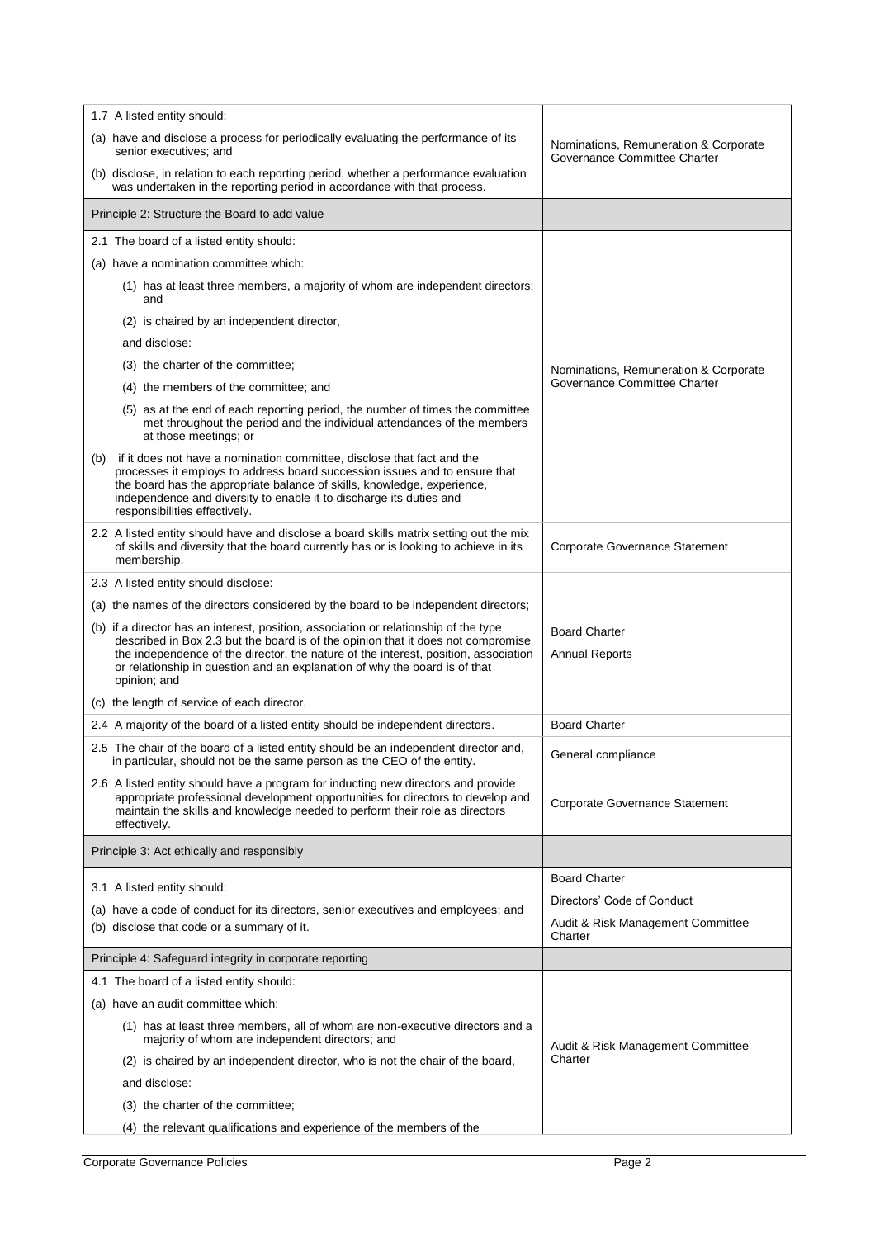| 1.7 A listed entity should:                                                                                                                                                                                                                                                                                                                                   |                                                                       |
|---------------------------------------------------------------------------------------------------------------------------------------------------------------------------------------------------------------------------------------------------------------------------------------------------------------------------------------------------------------|-----------------------------------------------------------------------|
| (a) have and disclose a process for periodically evaluating the performance of its<br>senior executives; and                                                                                                                                                                                                                                                  | Nominations, Remuneration & Corporate<br>Governance Committee Charter |
| (b) disclose, in relation to each reporting period, whether a performance evaluation<br>was undertaken in the reporting period in accordance with that process.                                                                                                                                                                                               |                                                                       |
| Principle 2: Structure the Board to add value                                                                                                                                                                                                                                                                                                                 |                                                                       |
| 2.1 The board of a listed entity should:                                                                                                                                                                                                                                                                                                                      |                                                                       |
| (a) have a nomination committee which:                                                                                                                                                                                                                                                                                                                        |                                                                       |
| (1) has at least three members, a majority of whom are independent directors;<br>and                                                                                                                                                                                                                                                                          |                                                                       |
| (2) is chaired by an independent director,                                                                                                                                                                                                                                                                                                                    |                                                                       |
| and disclose:                                                                                                                                                                                                                                                                                                                                                 |                                                                       |
| (3) the charter of the committee;                                                                                                                                                                                                                                                                                                                             | Nominations, Remuneration & Corporate                                 |
| (4) the members of the committee; and                                                                                                                                                                                                                                                                                                                         | Governance Committee Charter                                          |
| (5) as at the end of each reporting period, the number of times the committee<br>met throughout the period and the individual attendances of the members<br>at those meetings; or                                                                                                                                                                             |                                                                       |
| if it does not have a nomination committee, disclose that fact and the<br>(b)<br>processes it employs to address board succession issues and to ensure that<br>the board has the appropriate balance of skills, knowledge, experience,<br>independence and diversity to enable it to discharge its duties and<br>responsibilities effectively.                |                                                                       |
| 2.2 A listed entity should have and disclose a board skills matrix setting out the mix<br>of skills and diversity that the board currently has or is looking to achieve in its<br>membership.                                                                                                                                                                 | Corporate Governance Statement                                        |
| 2.3 A listed entity should disclose:                                                                                                                                                                                                                                                                                                                          |                                                                       |
| (a) the names of the directors considered by the board to be independent directors;                                                                                                                                                                                                                                                                           |                                                                       |
| (b) if a director has an interest, position, association or relationship of the type<br>described in Box 2.3 but the board is of the opinion that it does not compromise<br>the independence of the director, the nature of the interest, position, association<br>or relationship in question and an explanation of why the board is of that<br>opinion; and | <b>Board Charter</b><br><b>Annual Reports</b>                         |
| (c) the length of service of each director.                                                                                                                                                                                                                                                                                                                   |                                                                       |
| 2.4 A majority of the board of a listed entity should be independent directors.                                                                                                                                                                                                                                                                               | <b>Board Charter</b>                                                  |
| 2.5 The chair of the board of a listed entity should be an independent director and,<br>in particular, should not be the same person as the CEO of the entity.                                                                                                                                                                                                | General compliance                                                    |
| 2.6 A listed entity should have a program for inducting new directors and provide<br>appropriate professional development opportunities for directors to develop and<br>maintain the skills and knowledge needed to perform their role as directors<br>effectively.                                                                                           | Corporate Governance Statement                                        |
| Principle 3: Act ethically and responsibly                                                                                                                                                                                                                                                                                                                    |                                                                       |
| 3.1 A listed entity should:                                                                                                                                                                                                                                                                                                                                   | <b>Board Charter</b>                                                  |
| (a) have a code of conduct for its directors, senior executives and employees; and                                                                                                                                                                                                                                                                            | Directors' Code of Conduct                                            |
| (b) disclose that code or a summary of it.                                                                                                                                                                                                                                                                                                                    | Audit & Risk Management Committee<br>Charter                          |
| Principle 4: Safeguard integrity in corporate reporting                                                                                                                                                                                                                                                                                                       |                                                                       |
| 4.1 The board of a listed entity should:                                                                                                                                                                                                                                                                                                                      |                                                                       |
| (a) have an audit committee which:                                                                                                                                                                                                                                                                                                                            |                                                                       |
| (1) has at least three members, all of whom are non-executive directors and a<br>majority of whom are independent directors; and                                                                                                                                                                                                                              | Audit & Risk Management Committee                                     |
| (2) is chaired by an independent director, who is not the chair of the board,                                                                                                                                                                                                                                                                                 | Charter                                                               |
| and disclose:                                                                                                                                                                                                                                                                                                                                                 |                                                                       |
| (3) the charter of the committee;                                                                                                                                                                                                                                                                                                                             |                                                                       |
| (4) the relevant qualifications and experience of the members of the                                                                                                                                                                                                                                                                                          |                                                                       |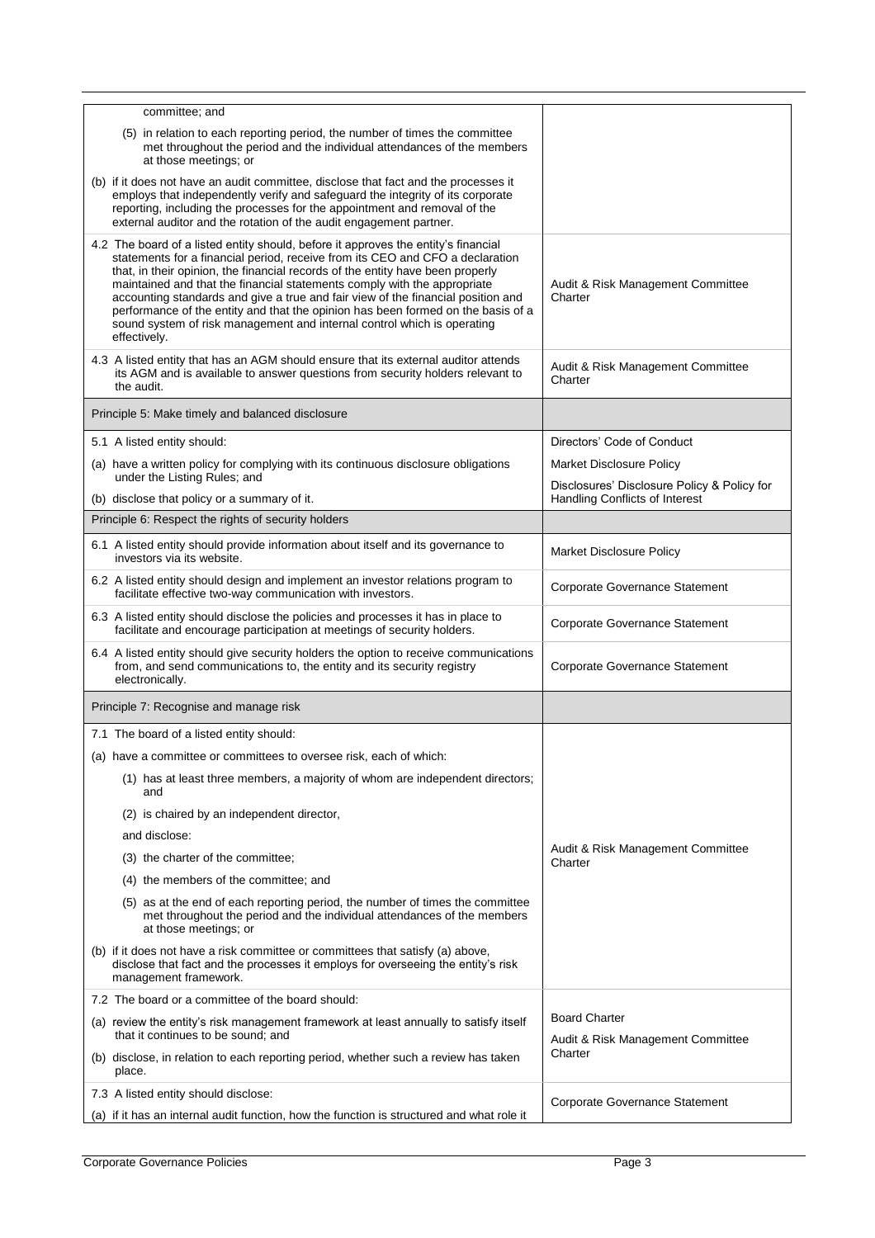| committee; and                                                                                                                                                                                                                                                                                                                                                                                                                                                                                                                                                                                       |                                                                               |
|------------------------------------------------------------------------------------------------------------------------------------------------------------------------------------------------------------------------------------------------------------------------------------------------------------------------------------------------------------------------------------------------------------------------------------------------------------------------------------------------------------------------------------------------------------------------------------------------------|-------------------------------------------------------------------------------|
| (5) in relation to each reporting period, the number of times the committee<br>met throughout the period and the individual attendances of the members<br>at those meetings; or                                                                                                                                                                                                                                                                                                                                                                                                                      |                                                                               |
| (b) if it does not have an audit committee, disclose that fact and the processes it<br>employs that independently verify and safeguard the integrity of its corporate<br>reporting, including the processes for the appointment and removal of the<br>external auditor and the rotation of the audit engagement partner.                                                                                                                                                                                                                                                                             |                                                                               |
| 4.2 The board of a listed entity should, before it approves the entity's financial<br>statements for a financial period, receive from its CEO and CFO a declaration<br>that, in their opinion, the financial records of the entity have been properly<br>maintained and that the financial statements comply with the appropriate<br>accounting standards and give a true and fair view of the financial position and<br>performance of the entity and that the opinion has been formed on the basis of a<br>sound system of risk management and internal control which is operating<br>effectively. | Audit & Risk Management Committee<br>Charter                                  |
| 4.3 A listed entity that has an AGM should ensure that its external auditor attends<br>its AGM and is available to answer questions from security holders relevant to<br>the audit.                                                                                                                                                                                                                                                                                                                                                                                                                  | Audit & Risk Management Committee<br>Charter                                  |
| Principle 5: Make timely and balanced disclosure                                                                                                                                                                                                                                                                                                                                                                                                                                                                                                                                                     |                                                                               |
| 5.1 A listed entity should:                                                                                                                                                                                                                                                                                                                                                                                                                                                                                                                                                                          | Directors' Code of Conduct                                                    |
| (a) have a written policy for complying with its continuous disclosure obligations                                                                                                                                                                                                                                                                                                                                                                                                                                                                                                                   | <b>Market Disclosure Policy</b>                                               |
| under the Listing Rules; and<br>(b) disclose that policy or a summary of it.                                                                                                                                                                                                                                                                                                                                                                                                                                                                                                                         | Disclosures' Disclosure Policy & Policy for<br>Handling Conflicts of Interest |
| Principle 6: Respect the rights of security holders                                                                                                                                                                                                                                                                                                                                                                                                                                                                                                                                                  |                                                                               |
| 6.1 A listed entity should provide information about itself and its governance to<br>investors via its website.                                                                                                                                                                                                                                                                                                                                                                                                                                                                                      | Market Disclosure Policy                                                      |
| 6.2 A listed entity should design and implement an investor relations program to<br>facilitate effective two-way communication with investors.                                                                                                                                                                                                                                                                                                                                                                                                                                                       | <b>Corporate Governance Statement</b>                                         |
| 6.3 A listed entity should disclose the policies and processes it has in place to<br>facilitate and encourage participation at meetings of security holders.                                                                                                                                                                                                                                                                                                                                                                                                                                         | <b>Corporate Governance Statement</b>                                         |
| 6.4 A listed entity should give security holders the option to receive communications<br>from, and send communications to, the entity and its security registry<br>electronically.                                                                                                                                                                                                                                                                                                                                                                                                                   | Corporate Governance Statement                                                |
| Principle 7: Recognise and manage risk                                                                                                                                                                                                                                                                                                                                                                                                                                                                                                                                                               |                                                                               |
| 7.1 The board of a listed entity should:                                                                                                                                                                                                                                                                                                                                                                                                                                                                                                                                                             |                                                                               |
| (a) have a committee or committees to oversee risk, each of which:                                                                                                                                                                                                                                                                                                                                                                                                                                                                                                                                   |                                                                               |
| (1) has at least three members, a majority of whom are independent directors;<br>and                                                                                                                                                                                                                                                                                                                                                                                                                                                                                                                 |                                                                               |
| (2) is chaired by an independent director,                                                                                                                                                                                                                                                                                                                                                                                                                                                                                                                                                           |                                                                               |
| and disclose:                                                                                                                                                                                                                                                                                                                                                                                                                                                                                                                                                                                        |                                                                               |
| (3) the charter of the committee;                                                                                                                                                                                                                                                                                                                                                                                                                                                                                                                                                                    | Audit & Risk Management Committee<br>Charter                                  |
| (4) the members of the committee; and                                                                                                                                                                                                                                                                                                                                                                                                                                                                                                                                                                |                                                                               |
| (5) as at the end of each reporting period, the number of times the committee<br>met throughout the period and the individual attendances of the members<br>at those meetings; or                                                                                                                                                                                                                                                                                                                                                                                                                    |                                                                               |
| (b) if it does not have a risk committee or committees that satisfy (a) above,<br>disclose that fact and the processes it employs for overseeing the entity's risk<br>management framework.                                                                                                                                                                                                                                                                                                                                                                                                          |                                                                               |
| 7.2 The board or a committee of the board should:                                                                                                                                                                                                                                                                                                                                                                                                                                                                                                                                                    |                                                                               |
| (a) review the entity's risk management framework at least annually to satisfy itself<br>that it continues to be sound; and                                                                                                                                                                                                                                                                                                                                                                                                                                                                          | <b>Board Charter</b><br>Audit & Risk Management Committee                     |
| (b) disclose, in relation to each reporting period, whether such a review has taken<br>place.                                                                                                                                                                                                                                                                                                                                                                                                                                                                                                        | Charter                                                                       |
| 7.3 A listed entity should disclose:                                                                                                                                                                                                                                                                                                                                                                                                                                                                                                                                                                 | <b>Corporate Governance Statement</b>                                         |
| (a) if it has an internal audit function, how the function is structured and what role it                                                                                                                                                                                                                                                                                                                                                                                                                                                                                                            |                                                                               |